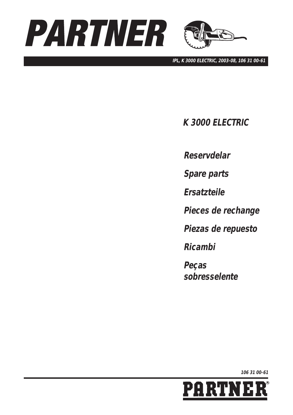



**IPL, K 3000 ELECTRIC, 2003-08, 106 31 00-61**

**K 3000 ELECTRIC**

**Reservdelar**

**Spare parts**

**Ersatzteile**

**Pieces de rechange**

**Piezas de repuesto**

**Ricambi**

**Peças sobresselente**

**106 31 00-61**

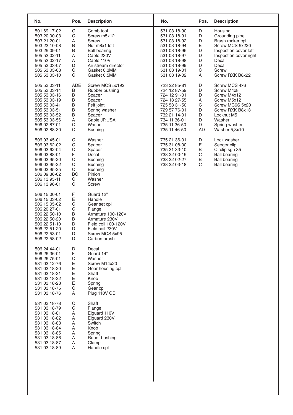| No.                                                                                                                                                          | Pos.                                                                                    | <b>Description</b>                                                                                                                                              | No.                                                                                                                                                          | Pos.                                            | <b>Description</b>                                                                                                                                                |
|--------------------------------------------------------------------------------------------------------------------------------------------------------------|-----------------------------------------------------------------------------------------|-----------------------------------------------------------------------------------------------------------------------------------------------------------------|--------------------------------------------------------------------------------------------------------------------------------------------------------------|-------------------------------------------------|-------------------------------------------------------------------------------------------------------------------------------------------------------------------|
| 501 69 17-02<br>503 20 00-03<br>503 21 20-01<br>503 22 10-08<br>503 25 09-01<br>505 52 02-11<br>505 52 02-17<br>505 53 03-07<br>505 53 03-08<br>505 53 03-10 | G<br>C<br>A<br>$\sf B$<br>B<br>A<br>A<br>D<br>С<br>$\mathsf C$                          | Comb.tool<br>Screw m5x12<br>Screw<br>Nut m8x1 left<br><b>Ball bearing</b><br>Cable 230V<br>Cable 110V<br>Air stream director<br>Gasket 0,3MM<br>Gasket 0,5MM    | 531 03 18-90<br>531 03 18-91<br>531 03 18-92<br>531 03 18-94<br>531 03 18-96<br>531 03 18-97<br>531 03 18-98<br>531 03 18-99<br>531 03 19-01<br>531 03 19-02 | D<br>D<br>D<br>E<br>D<br>D<br>D<br>D<br>C<br>Α  | Housing<br>Grounding pipe<br>Brush rocker cpl<br>Screw MCS 5x220<br>Inspection cover left<br>Inspection cover right<br>Decal<br>Decal<br>Screw<br>Screw RXK B8x22 |
| 505 53 03-11<br>505 53 03-14<br>505 53 03-16<br>505 53 03-19<br>505 53 03-41<br>505 53 03-51<br>505 53 03-52<br>505 53 03-56<br>506 02 87-01<br>506 02 88-30 | ADE<br>B<br>B<br>B<br>$\sf B$<br>$\sf B$<br>$\sf B$<br>A<br>С<br>C                      | Screw MCS 5x192<br>Rubber bushing<br>Spacer<br>Spacer<br>Felt joint<br>Spring washer<br>Spacer<br>Cable JP,USA<br>Washer<br><b>Bushing</b>                      | 723 22 85-81<br>724 12 87-59<br>724 12 91-01<br>724 13 27-55<br>725 53 31-50<br>729 57 76-01<br>732 21 14-01<br>734 11 36-01<br>735 11 36-50<br>735 11 46-50 | D<br>D<br>D<br>Α<br>C<br>D<br>D<br>D<br>D<br>AD | Screw MCS 4x6<br>Screw M4x8<br>Screw M4x12<br>Screw M5x12<br>Screw MC6S 5x20<br>Screw RXK B8x13<br>Locknut M5<br>Washer<br>Spring washer<br>Washer 5,3x10         |
| 506 03 45-01<br>506 03 62-02<br>506 03 62-04<br>506 03 88-01<br>506 03 95-20<br>506 03 95-22<br>506 03 95-25<br>506 09 86-02<br>506 13 95-11<br>506 13 96-01 | С<br>$\mathsf C$<br>$\mathsf C$<br>Ē<br>C<br>$\mathsf C$<br>$\mathsf C$<br>BC<br>C<br>C | Washer<br>Spacer<br>Spacer<br>Decal<br><b>Bushing</b><br><b>Bushing</b><br><b>Bushing</b><br>Pinion<br>Washer<br>Screw                                          | 735 21 36-01<br>735 31 08-00<br>735 31 33-10<br>738 22 00-15<br>738 22 02-27<br>738 22 03-18                                                                 | D<br>E<br>B<br>$\mathsf C$<br>B<br>$\mathsf C$  | Lock washer<br>Seeger clip<br>Circlip sgh 35<br><b>Ball bearing</b><br><b>Ball bearing</b><br><b>Ball bearing</b>                                                 |
| 506 15 00-01<br>506 15 03-02<br>506 15 05-02<br>506 20 27-01<br>506 22 50-10<br>506 22 50-20<br>506 22 51-10<br>506 22 51-20<br>506 22 53-01<br>506 22 58-02 | F<br>E<br>C<br>$\mathsf C$<br>$\sf B$<br>B<br>D<br>D<br>D<br>D                          | Guard 12"<br>Handle<br>Gear set cpl<br>Flange<br>Armature 100-120V<br>Armature 230V<br>Field coil 100-120V<br>Field coil 230V<br>Screw MCS 5x95<br>Carbon brush |                                                                                                                                                              |                                                 |                                                                                                                                                                   |
| 506 24 44-01<br>506 26 36-01<br>506 26 75-01<br>531 03 12-76<br>531 03 18-20<br>531 03 18-21<br>531 03 18-22<br>531 03 18-23<br>531 03 18-75<br>531 03 18-76 | D<br>F<br>$\mathsf C$<br>E<br>E<br>E<br>E<br>E<br>$\mathsf C$<br>Α                      | Decal<br>Guard 14"<br>Washer<br>Screw M14x20<br>Gear housing cpl<br>Shaft<br>Knob<br>Spring<br>Gear cpl<br>Plug 110V GB                                         |                                                                                                                                                              |                                                 |                                                                                                                                                                   |
| 531 03 18-78<br>531 03 18-79<br>531 03 18-81<br>531 03 18-82<br>531 03 18-83<br>531 03 18-84<br>531 03 18-85<br>531 03 18-86<br>531 03 18-87<br>531 03 18-89 | C<br>$\mathsf C$<br>Α<br>Α<br>Α<br>Α<br>Α<br>Α<br>Α<br>A                                | Shaft<br>Flange<br>Elguard 110V<br>Elguard 230V<br>Switch<br>Knob<br>Spring<br>Ruber bushing<br>Clamp<br>Handle cpl                                             |                                                                                                                                                              |                                                 |                                                                                                                                                                   |
|                                                                                                                                                              |                                                                                         |                                                                                                                                                                 |                                                                                                                                                              |                                                 |                                                                                                                                                                   |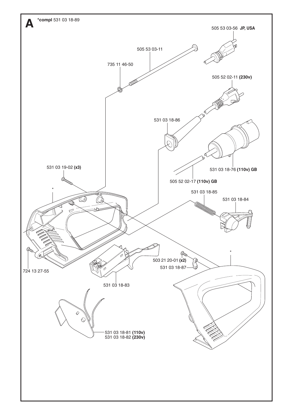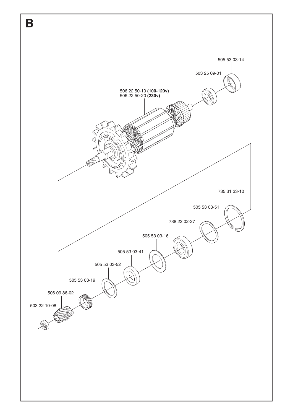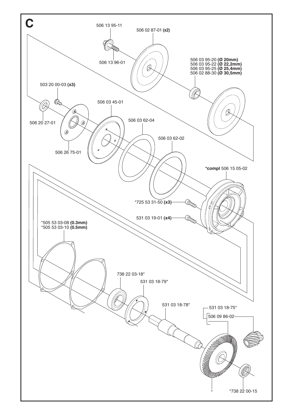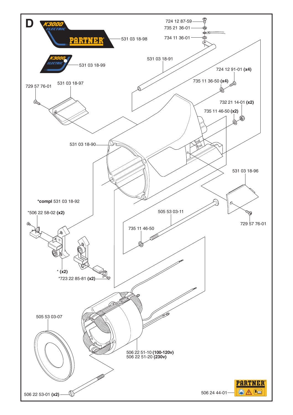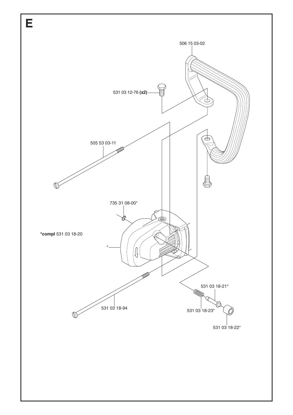